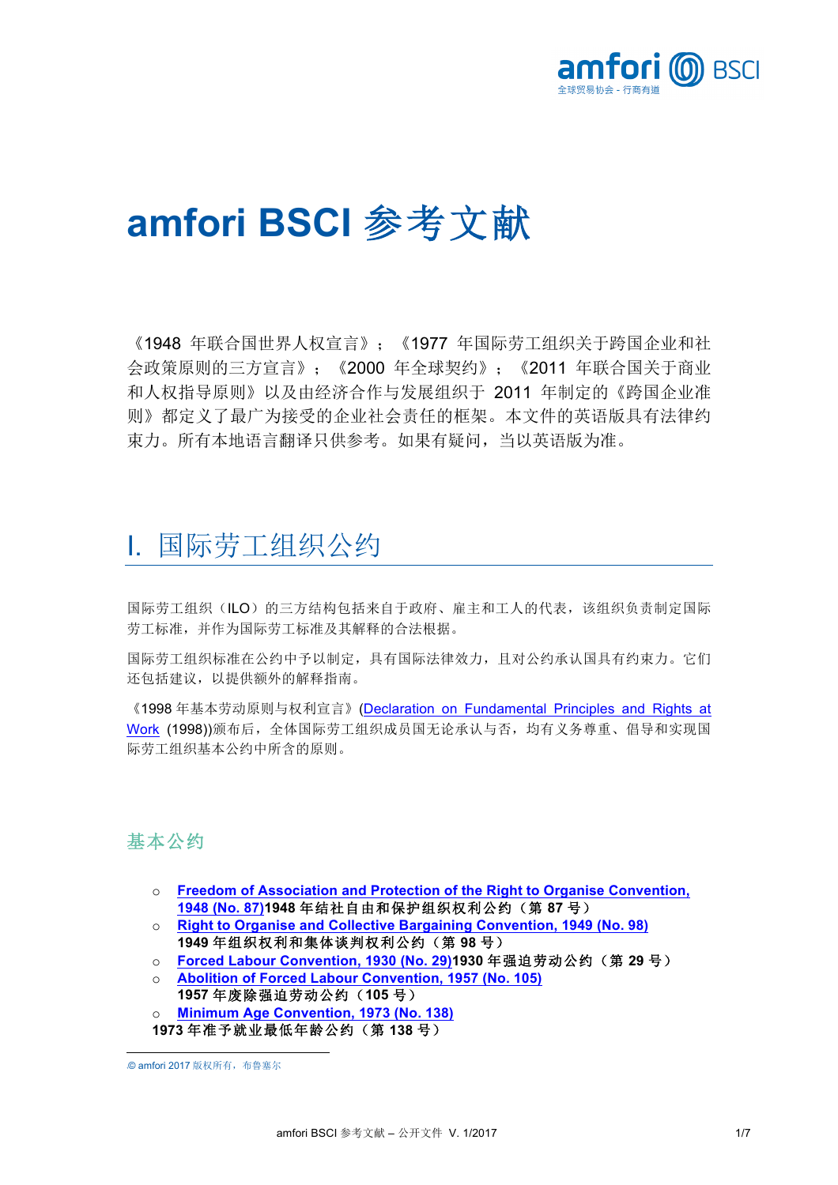

# **amfori BSCI** 参考文献**<sup>1</sup>**

《1948 年联合国世界人权宣言》;《1977 年国际劳工组织关于跨国企业和社 会政策原则的三方宣言》;《2000 年全球契约》;《2011 年联合国关于商业 和人权指导原则》以及由经济合作与发展组织于 2011 年制定的《跨国企业准 则》都定义了最广为接受的企业社会责任的框架。本文件的英语版具有法律约 束力。所有本地语言翻译只供参考。如果有疑问,当以英语版为准。

# I. 国际劳工组织公约

国际劳工组织(ILO)的三方结构包括来自于政府、雇主和工人的代表,该组织负责制定国际 劳工标准,并作为国际劳工标准及其解释的合法根据。

国际劳工组织标准在公约中予以制定,具有国际法律效力,且对公约承认国具有约束力。它们 还包括建议,以提供额外的解释指南。

《1998 年基本劳动原则与权利宣言》(Declaration on Fundamental Principles and Rights at Work (1998))颁布后,全体国际劳工组织成员国无论承认与否,均有义务尊重、倡导和实现国 际劳工组织基本公约中所含的原则。

### 基本公约

- o **Freedom of Association and Protection of the Right to Organise Convention, 1948 (No. 87)1948** 年结社自由和保护组织权利公约(第 **87** 号)
- o **Right to Organise and Collective Bargaining Convention, 1949 (No. 98) 1949** 年组织权利和集体谈判权利公约(第 **98** 号)
- o **Forced Labour Convention, 1930 (No. 29)1930** 年强迫劳动公约(第 **29** 号)
- o **Abolition of Forced Labour Convention, 1957 (No. 105)**
- **1957** 年废除强迫劳动公约(**105** 号) **Minimum Age Convention, 1973 (No. 138)**
- **1973** 年准予就业最低年龄公约(第 **138** 号)

l **<sup>1</sup>**© amfori 2017 版权所有,布鲁塞尔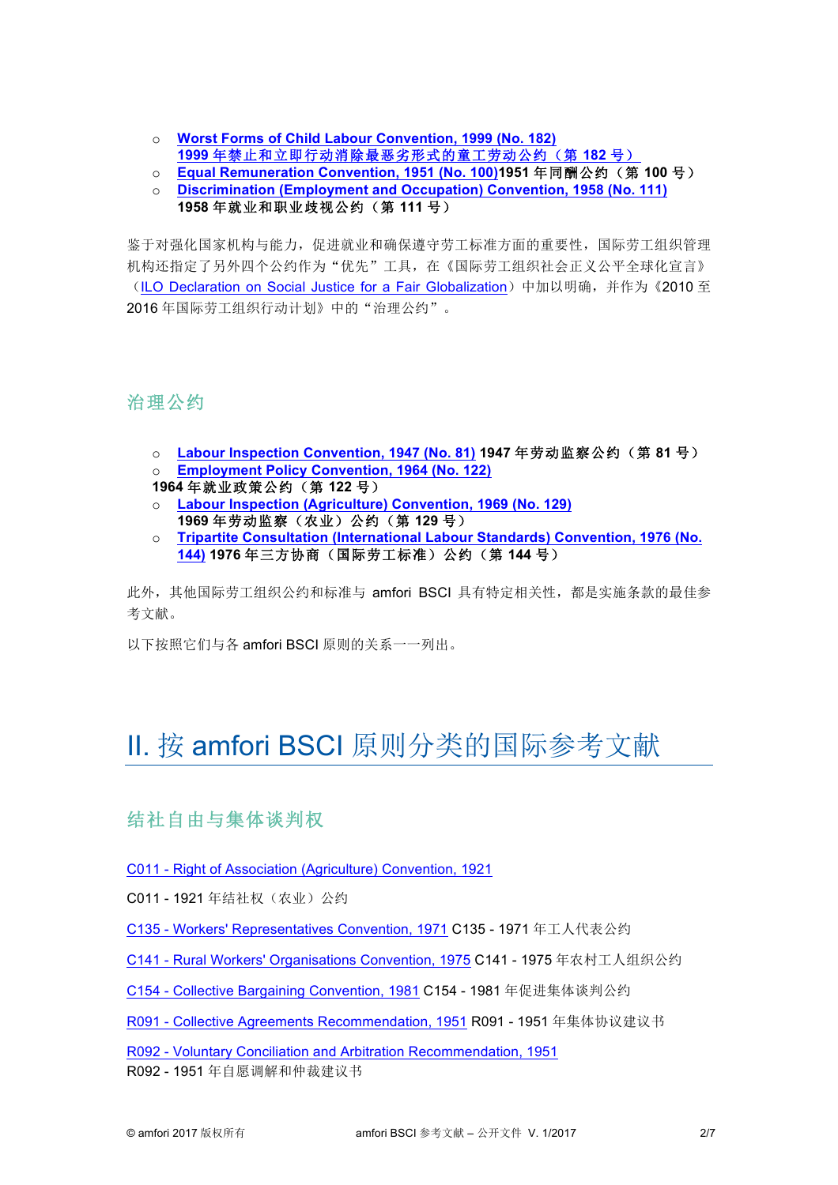- o **Worst Forms of Child Labour Convention, 1999 (No. 182) 1999** 年禁止和立即行动消除最恶劣形式的童工劳动公约(第 **182** 号)
- o **Equal Remuneration Convention, 1951 (No. 100)1951** 年同酬公约(第 **100** 号)
- o **Discrimination (Employment and Occupation) Convention, 1958 (No. 111) 1958** 年就业和职业歧视公约(第 **111** 号)

鉴于对强化国家机构与能力,促进就业和确保遵守劳工标准方面的重要性,国际劳工组织管理 机构还指定了另外四个公约作为"优先"工具,在《国际劳工组织社会正义公平全球化宣言》 (ILO Declaration on Social Justice for a Fair Globalization) 中加以明确, 并作为《2010 至 2016 年国际劳工组织行动计划》中的"治理公约"。

治理公约

- o **Labour Inspection Convention, 1947 (No. 81) 1947** 年劳动监察公约(第 **81** 号)
- o **Employment Policy Convention, 1964 (No. 122)**
- **1964** 年就业政策公约(第 **122** 号)
- o **Labour Inspection (Agriculture) Convention, 1969 (No. 129) 1969** 年劳动监察(农业)公约(第 **129** 号)
- o **Tripartite Consultation (International Labour Standards) Convention, 1976 (No. 144) 1976** 年三方协商(国际劳工标准)公约(第 **144** 号)

此外,其他国际劳工组织公约和标准与 amfori BSCI 具有特定相关性,都是实施条款的最佳参 考文献。

以下按照它们与各 amfori BSCI 原则的关系一一列出。

# II. 按 amfori BSCI 原则分类的国际参考文献

结社自由与集体谈判权

C011 - Right of Association (Agriculture) Convention, 1921

C011 - 1921 年结社权(农业)公约

C135 - Workers' Representatives Convention, 1971 C135 - 1971 年工人代表公约

C141 - Rural Workers' Organisations Convention, 1975 C141 - 1975 年农村工人组织公约

C154 - Collective Bargaining Convention, 1981 C154 - 1981 年促进集体谈判公约

R091 - Collective Agreements Recommendation, 1951 R091 - 1951 年集体协议建议书

R092 - Voluntary Conciliation and Arbitration Recommendation, 1951

R092 - 1951 年自愿调解和仲裁建议书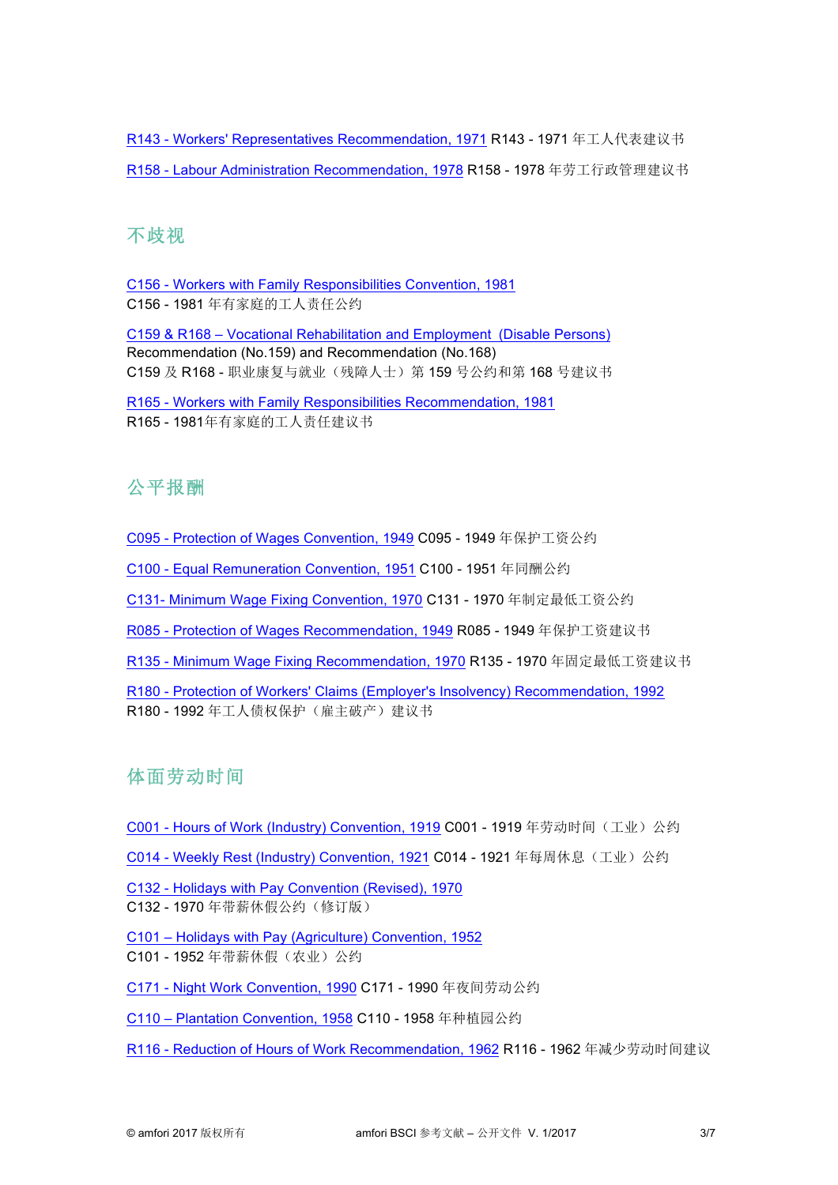R143 - Workers' Representatives Recommendation, 1971 R143 - 1971 年工人代表建议书 R158 - Labour Administration Recommendation, 1978 R158 - 1978 年劳工行政管理建议书

#### 不歧视

C156 - Workers with Family Responsibilities Convention, 1981 C156 - 1981 年有家庭的工人责任公约

C159 & R168 – Vocational Rehabilitation and Employment (Disable Persons) Recommendation (No.159) and Recommendation (No.168) C159 及 R168 - 职业康复与就业(残障人士) 第 159 号公约和第 168 号建议书

R165 - Workers with Family Responsibilities Recommendation, 1981 R165 - 1981年有家庭的工人责任建议书

## 公平报酬

C095 - Protection of Wages Convention, 1949 C095 - 1949 年保护工资公约

C100 - Equal Remuneration Convention, 1951 C100 - 1951 年同酬公约

C131- Minimum Wage Fixing Convention, 1970 C131 - 1970 年制定最低工资公约

R085 - Protection of Wages Recommendation, 1949 R085 - 1949 年保护工资建议书

R135 - Minimum Wage Fixing Recommendation, 1970 R135 - 1970 年固定最低工资建议书

R180 - Protection of Workers' Claims (Employer's Insolvency) Recommendation, 1992 R180 - 1992年工人债权保护(雇主破产)建议书

### 体面劳动时间

C001 - Hours of Work (Industry) Convention, 1919 C001 - 1919 年劳动时间(工业)公约

C014 - Weekly Rest (Industry) Convention, 1921 C014 - 1921 年每周休息(工业)公约

C132 - Holidays with Pay Convention (Revised), 1970

C132 - 1970 年带薪休假公约(修订版)

C101 – Holidays with Pay (Agriculture) Convention, 1952 C101 - 1952 年带薪休假(农业)公约

C171 - Night Work Convention, 1990 C171 - 1990 年夜间劳动公约

C110 – Plantation Convention, 1958 C110 - 1958 年种植园公约

R116 - Reduction of Hours of Work Recommendation, 1962 R116 - 1962 年减少劳动时间建议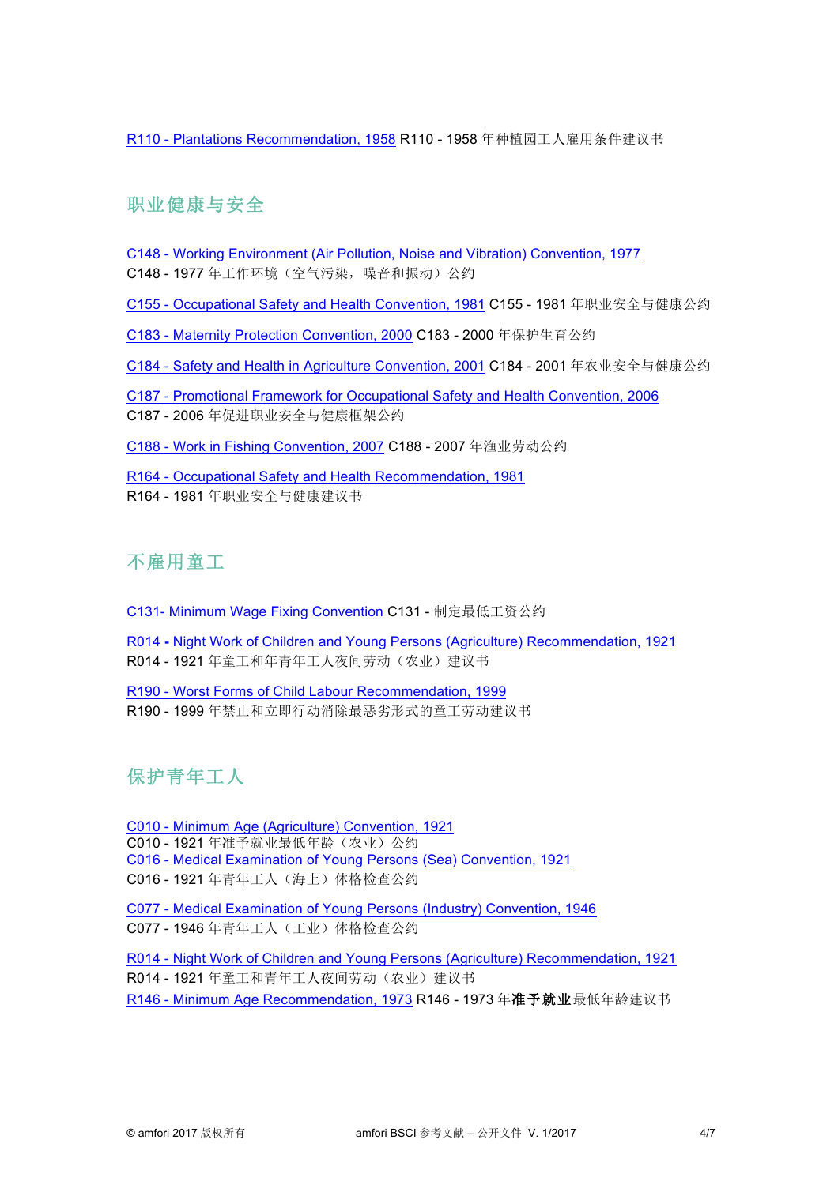R110 - Plantations Recommendation, 1958 R110 - 1958 年种植园工人雇用条件建议书

# 职业健康与安全

- C148 Working Environment (Air Pollution, Noise and Vibration) Convention, 1977
- C148 1977 年工作环境(空气污染,噪音和振动)公约
- C155 Occupational Safety and Health Convention, 1981 C155 1981 年职业安全与健康公约
- C183 Maternity Protection Convention, 2000 C183 2000 年保护生育公约
- C184 Safety and Health in Agriculture Convention, 2001 C184 2001 年农业安全与健康公约
- C187 Promotional Framework for Occupational Safety and Health Convention, 2006
- C187 2006 年促进职业安全与健康框架公约
- C188 Work in Fishing Convention, 2007 C188 2007 年渔业劳动公约

R164 - Occupational Safety and Health Recommendation, 1981 R164 - 1981 年职业安全与健康建议书

### 不雇用童工

- C131- Minimum Wage Fixing Convention C131 制定最低工资公约
- R014 **-** Night Work of Children and Young Persons (Agriculture) Recommendation, 1921
- R014 1921 年童工和年青年工人夜间劳动(农业)建议书
- R190 Worst Forms of Child Labour Recommendation, 1999
- R190 1999 年禁止和立即行动消除最恶劣形式的童工劳动建议书

# 保护青年工人

- C010 Minimum Age (Agriculture) Convention, 1921
- C010 1921 年准予就业最低年龄(农业)公约
- C016 Medical Examination of Young Persons (Sea) Convention, 1921
- C016 1921 年青年工人(海上)体格检查公约
- C077 Medical Examination of Young Persons (Industry) Convention, 1946 C077 - 1946 年青年工人(工业)体格检查公约

R014 - Night Work of Children and Young Persons (Agriculture) Recommendation, 1921 R014 - 1921 年童工和青年工人夜间劳动(农业)建议书 R146 - Minimum Age Recommendation, 1973 R146 - 1973 年准予就业最低年龄建议书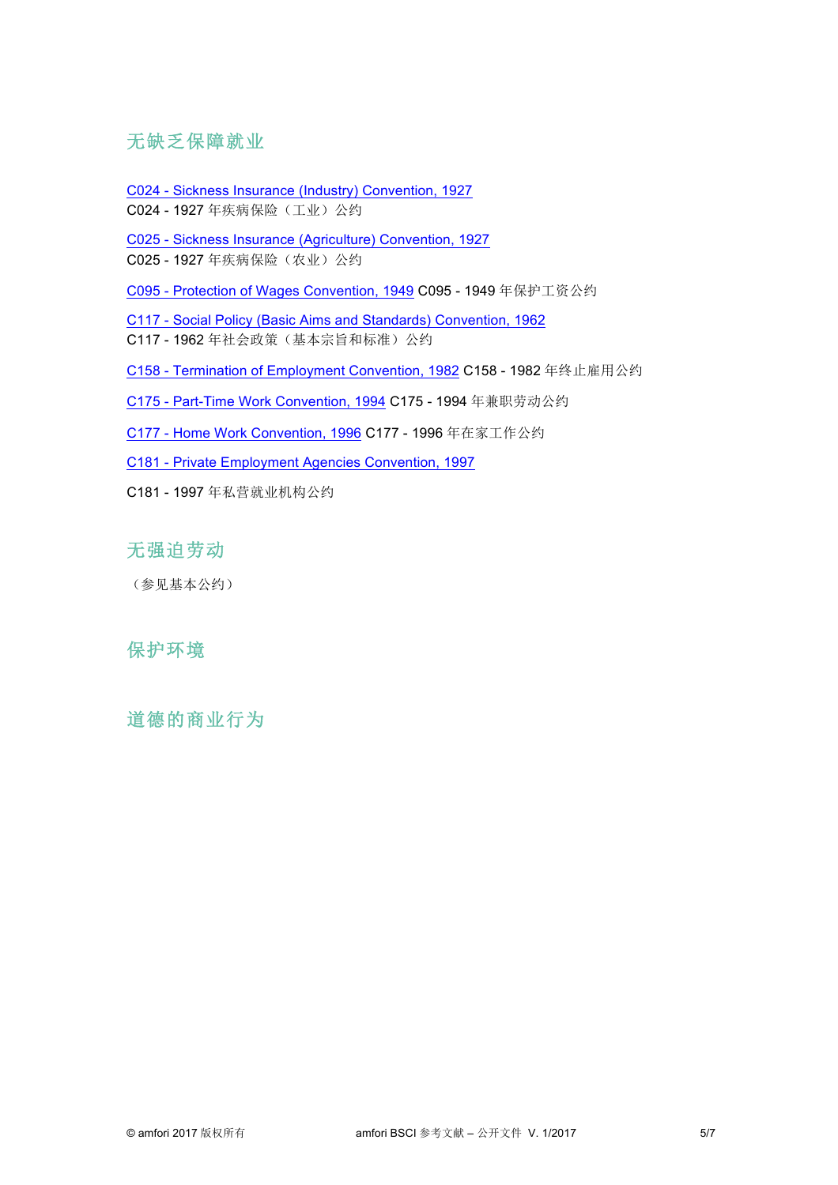### 无缺乏保障就业

C024 - Sickness Insurance (Industry) Convention, 1927 C024 - 1927 年疾病保险(工业)公约

C025 - Sickness Insurance (Agriculture) Convention, 1927

C025 - 1927 年疾病保险(农业)公约

C095 - Protection of Wages Convention, 1949 C095 - 1949 年保护工资公约

C117 - Social Policy (Basic Aims and Standards) Convention, 1962

C117 - 1962年社会政策(基本宗旨和标准)公约

C158 - Termination of Employment Convention, 1982 C158 - 1982 年终止雇用公约

C175 - Part-Time Work Convention, 1994 C175 - 1994 年兼职劳动公约

C177 - Home Work Convention, 1996 C177 - 1996 年在家工作公约

C181 - Private Employment Agencies Convention, 1997

C181 - 1997 年私营就业机构公约

# 无强迫劳动

(参见基本公约)

### 保护环境

道德的商业行为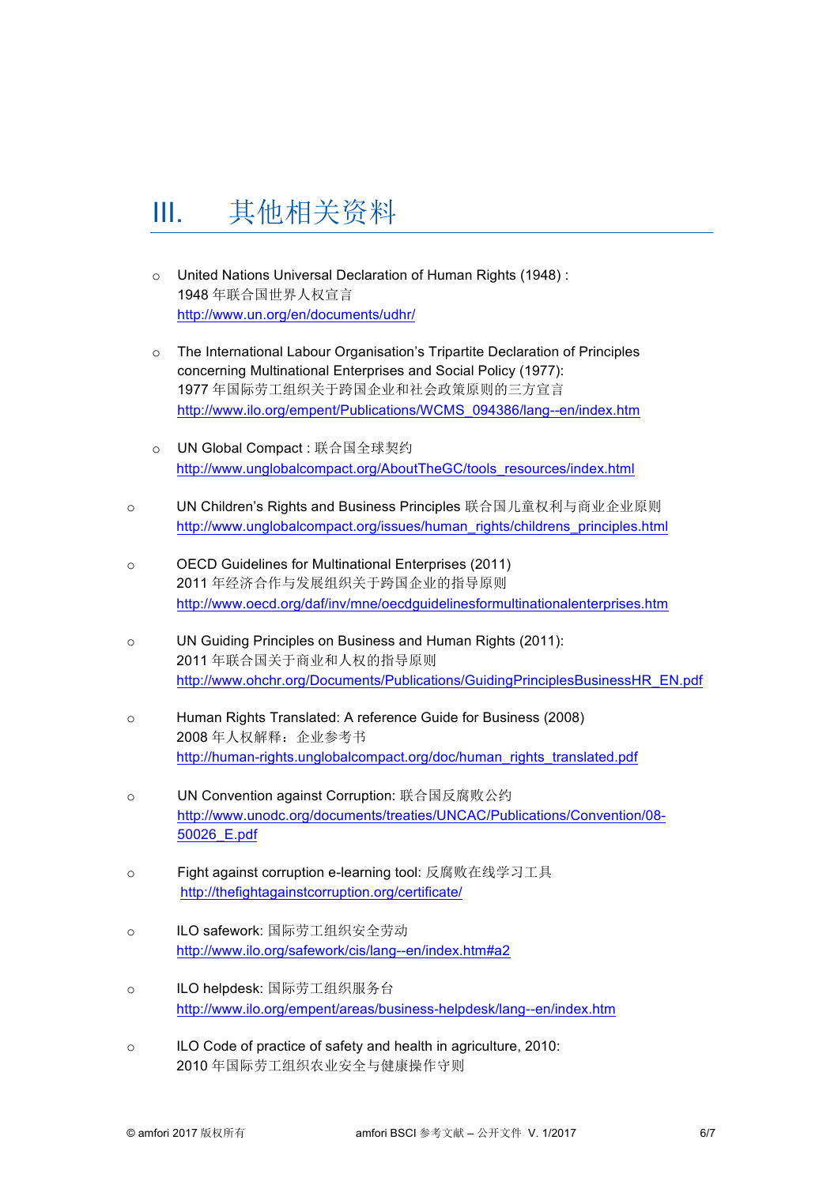# III. 其他相关资料

- o United Nations Universal Declaration of Human Rights (1948) : 1948 年联合国世界人权宣言 http://www.un.org/en/documents/udhr/
- o The International Labour Organisation's Tripartite Declaration of Principles concerning Multinational Enterprises and Social Policy (1977): 1977 年国际劳工组织关于跨国企业和社会政策原则的三方宣言 http://www.ilo.org/empent/Publications/WCMS\_094386/lang--en/index.htm
- o UN Global Compact : 联合国全球契约 http://www.unglobalcompact.org/AboutTheGC/tools\_resources/index.html
- o UN Children's Rights and Business Principles 联合国儿童权利与商业企业原则 http://www.unglobalcompact.org/issues/human\_rights/childrens\_principles.html
- o OECD Guidelines for Multinational Enterprises (2011) 2011 年经济合作与发展组织关于跨国企业的指导原则 http://www.oecd.org/daf/inv/mne/oecdguidelinesformultinationalenterprises.htm
- o UN Guiding Principles on Business and Human Rights (2011): 2011 年联合国关于商业和人权的指导原则 http://www.ohchr.org/Documents/Publications/GuidingPrinciplesBusinessHR\_EN.pdf
- o Human Rights Translated: A reference Guide for Business (2008) 2008年人权解释: 企业参考书 http://human-rights.unglobalcompact.org/doc/human\_rights\_translated.pdf
- o UN Convention against Corruption: 联合国反腐败公约 http://www.unodc.org/documents/treaties/UNCAC/Publications/Convention/08- 50026\_E.pdf
- o Fight against corruption e-learning tool: 反腐败在线学习工具 http://thefightagainstcorruption.org/certificate/
- o ILO safework: 国际劳工组织安全劳动 http://www.ilo.org/safework/cis/lang--en/index.htm#a2
- o ILO helpdesk: 国际劳工组织服务台 http://www.ilo.org/empent/areas/business-helpdesk/lang--en/index.htm
- o ILO Code of practice of safety and health in agriculture, 2010: 2010 年国际劳工组织农业安全与健康操作守则